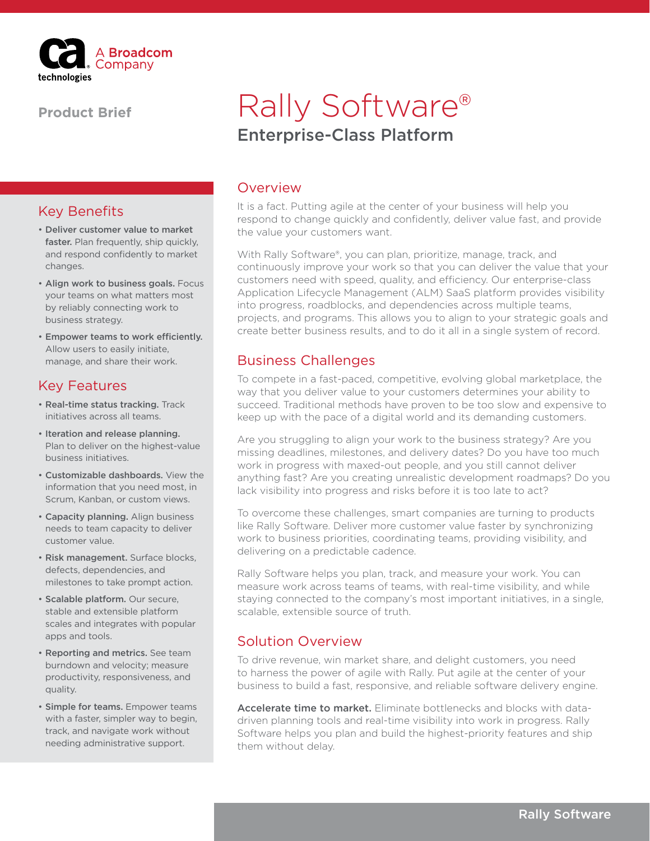

#### **Product Brief**

#### Key Benefits

- Deliver customer value to market faster. Plan frequently, ship quickly. and respond confidently to market changes.
- Align work to business goals. Focus your teams on what matters most by reliably connecting work to business strategy.
- Empower teams to work efficiently. Allow users to easily initiate, manage, and share their work.

#### Key Features

- Real-time status tracking. Track initiatives across all teams.
- Iteration and release planning. Plan to deliver on the highest-value business initiatives.
- Customizable dashboards. View the information that you need most, in Scrum, Kanban, or custom views.
- Capacity planning. Align business needs to team capacity to deliver customer value.
- Risk management. Surface blocks, defects, dependencies, and milestones to take prompt action.
- Scalable platform. Our secure, stable and extensible platform scales and integrates with popular apps and tools.
- Reporting and metrics. See team burndown and velocity; measure productivity, responsiveness, and quality.
- Simple for teams. Empower teams with a faster, simpler way to begin, track, and navigate work without needing administrative support.

# Enterprise-Class Platform Rally Software®

#### Overview

It is a fact. Putting agile at the center of your business will help you respond to change quickly and confidently, deliver value fast, and provide the value your customers want.

With Rally Software®, you can plan, prioritize, manage, track, and continuously improve your work so that you can deliver the value that your customers need with speed, quality, and efficiency. Our enterprise-class Application Lifecycle Management (ALM) SaaS platform provides visibility into progress, roadblocks, and dependencies across multiple teams, projects, and programs. This allows you to align to your strategic goals and create better business results, and to do it all in a single system of record.

### Business Challenges

To compete in a fast-paced, competitive, evolving global marketplace, the way that you deliver value to your customers determines your ability to succeed. Traditional methods have proven to be too slow and expensive to keep up with the pace of a digital world and its demanding customers.

Are you struggling to align your work to the business strategy? Are you missing deadlines, milestones, and delivery dates? Do you have too much work in progress with maxed-out people, and you still cannot deliver anything fast? Are you creating unrealistic development roadmaps? Do you lack visibility into progress and risks before it is too late to act?

To overcome these challenges, smart companies are turning to products like Rally Software. Deliver more customer value faster by synchronizing work to business priorities, coordinating teams, providing visibility, and delivering on a predictable cadence.

Rally Software helps you plan, track, and measure your work. You can measure work across teams of teams, with real-time visibility, and while staying connected to the company's most important initiatives, in a single, scalable, extensible source of truth.

### Solution Overview

To drive revenue, win market share, and delight customers, you need to harness the power of agile with Rally. Put agile at the center of your business to build a fast, responsive, and reliable software delivery engine.

Accelerate time to market. Eliminate bottlenecks and blocks with datadriven planning tools and real-time visibility into work in progress. Rally Software helps you plan and build the highest-priority features and ship them without delay.